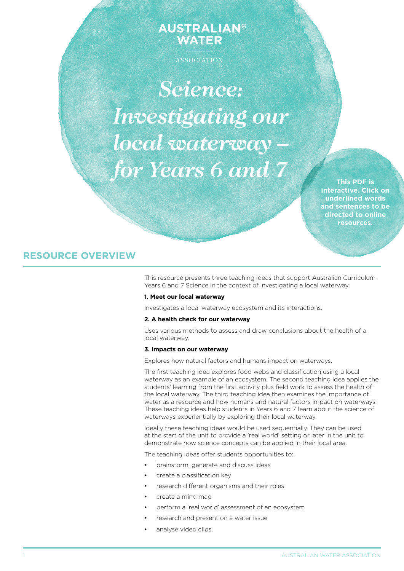# **AUSTRALIAN® WATER**

ASSOCIATION

*Science: Investigating our local waterway – for Years 6 and 7*

**This PDF is interactive. Click on underlined words and sentences to be directed to online resources.**

## **RESOURCE OVERVIEW**

This resource presents three teaching ideas that support Australian Curriculum Years 6 and 7 Science in the context of investigating a local waterway.

## **1. Meet our local waterway**

Investigates a local waterway ecosystem and its interactions.

## **2. A health check for our waterway**

Uses various methods to assess and draw conclusions about the health of a local waterway.

## **3. Impacts on our waterway**

Explores how natural factors and humans impact on waterways.

The first teaching idea explores food webs and classification using a local waterway as an example of an ecosystem. The second teaching idea applies the students' learning from the first activity plus field work to assess the health of the local waterway. The third teaching idea then examines the importance of water as a resource and how humans and natural factors impact on waterways. These teaching ideas help students in Years 6 and 7 learn about the science of waterways experientially by exploring their local waterway.

Ideally these teaching ideas would be used sequentially. They can be used at the start of the unit to provide a 'real world' setting or later in the unit to demonstrate how science concepts can be applied in their local area.

The teaching ideas offer students opportunities to:

- brainstorm, generate and discuss ideas
- create a classification key
- research different organisms and their roles
- create a mind map
- perform a 'real world' assessment of an ecosystem
- research and present on a water issue
- analyse video clips.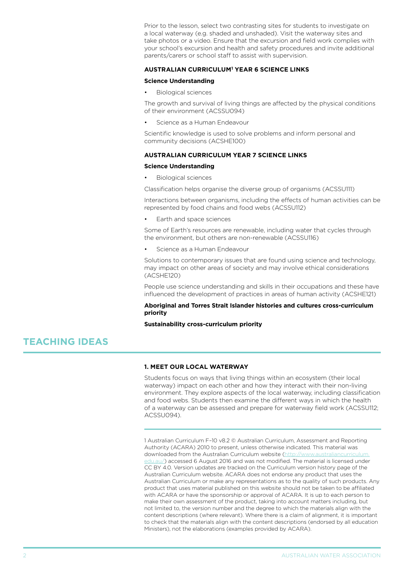Prior to the lesson, select two contrasting sites for students to investigate on a local waterway (e.g. shaded and unshaded). Visit the waterway sites and take photos or a video. Ensure that the excursion and field work complies with your school's excursion and health and safety procedures and invite additional parents/carers or school staff to assist with supervision.

## **AUStralian curriculum1 year 6 science links**

#### **Science Understanding**

**Biological sciences** 

The growth and survival of living things are affected by the physical conditions of their environment (ACSSU094)

Science as a Human Endeavour

Scientific knowledge is used to solve problems and inform personal and community decisions (ACSHE100)

## **AUStralian curriculum year 7 science links**

#### **Science Understanding**

**Biological sciences** 

Classification helps organise the diverse group of organisms (ACSSU111)

Interactions between organisms, including the effects of human activities can be represented by food chains and food webs (ACSSU112)

Earth and space sciences

Some of Earth's resources are renewable, including water that cycles through the environment, but others are non-renewable (ACSSU116)

Science as a Human Endeavour

Solutions to contemporary issues that are found using science and technology, may impact on other areas of society and may involve ethical considerations (ACSHE120)

People use science understanding and skills in their occupations and these have influenced the development of practices in areas of human activity (ACSHE121)

## **Aboriginal and Torres Strait Islander histories and cultures cross-curriculum priority**

### **Sustainability cross-curriculum priority**

## **TEACHING IDEAS**

## **1. Meet our local waterway**

Students focus on ways that living things within an ecosystem (their local waterway) impact on each other and how they interact with their non-living environment. They explore aspects of the local waterway, including classification and food webs. Students then examine the different ways in which the health of a waterway can be assessed and prepare for waterway field work (ACSSU112; ACSSU094).

1 Australian Curriculum F–10 v8.2 © Australian Curriculum, Assessment and Reporting Authority (ACARA) 2010 to present, unless otherwise indicated. This material was downloaded from the Australian Curriculum website ([http://www.australiancurriculum.](http://www.australiancurriculum.edu.au/) [edu.au/](http://www.australiancurriculum.edu.au/)) accessed 6 August 2016 and was not modified. The material is licensed under CC BY 4.0. Version updates are tracked on the Curriculum version history page of the Australian Curriculum website. ACARA does not endorse any product that uses the Australian Curriculum or make any representations as to the quality of such products. Any product that uses material published on this website should not be taken to be affiliated with ACARA or have the sponsorship or approval of ACARA. It is up to each person to make their own assessment of the product, taking into account matters including, but not limited to, the version number and the degree to which the materials align with the content descriptions (where relevant). Where there is a claim of alignment, it is important to check that the materials align with the content descriptions (endorsed by all education Ministers), not the elaborations (examples provided by ACARA).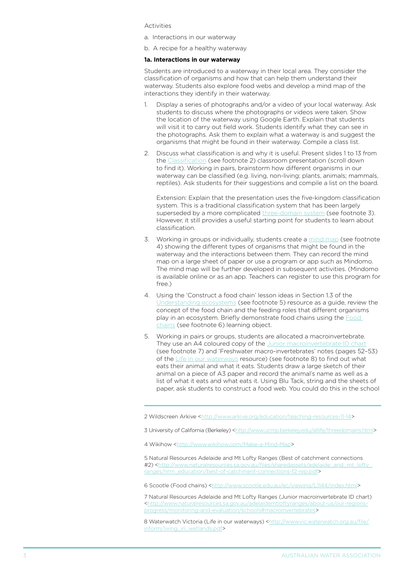Activities

- a. Interactions in our waterway
- b. A recipe for a healthy waterway

#### **1a. Interactions in our waterway**

Students are introduced to a waterway in their local area. They consider the classification of organisms and how that can help them understand their waterway. Students also explore food webs and develop a mind map of the interactions they identify in their waterway.

- Display a series of photographs and/or a video of your local waterway. Ask students to discuss where the photographs or videos were taken. Show the location of the waterway using Google Earth. Explain that students will visit it to carry out field work. Students identify what they can see in the photographs. Ask them to explain what a waterway is and suggest the organisms that might be found in their waterway. Compile a class list.
- 2. Discuss what classification is and why it is useful. Present slides 1 to 13 from the [Classification](http://www.arkive.org/education/teaching-resources-11-14) (see footnote 2) classroom presentation (scroll down to find it). Working in pairs, brainstorm how different organisms in our waterway can be classified (e.g. living, non-living; plants, animals; mammals, reptiles). Ask students for their suggestions and compile a list on the board.

Extension: Explain that the presentation uses the five-kingdom classification system. This is a traditional classification system that has been largely superseded by a more complicated [three-domain system](http://www.ucmp.berkeley.edu/alllife/threedomains.html) (see footnote 3). However, it still provides a useful starting point for students to learn about classification.

- 3. Working in groups or individually, students create a [mind map](http://www.wikihow.com/Make-a-Mind-Map) (see footnote 4) showing the different types of organisms that might be found in the waterway and the interactions between them. They can record the mind map on a large sheet of paper or use a program or app such as Mindomo. The mind map will be further developed in subsequent activities. (Mindomo is available online or as an app. Teachers can register to use this program for free.)
- 4. Using the 'Construct a food chain' lesson ideas in Section 1.3 of the [Understanding ecosystems](http://www.naturalresources.sa.gov.au/files/sharedassets/adelaide_and_mt_lofty_ranges/nrm_education/best-of-catchment-connections-f2-rep.pdf) (see footnote 5) resource as a guide, review the concept of the food chain and the feeding roles that different organisms play in an ecosystem. Briefly demonstrate food chains using the [Food](http://www.scootle.edu.au/ec/viewing/L1144/index.html)  [chains](http://www.scootle.edu.au/ec/viewing/L1144/index.html) (see footnote 6) learning object.
- 5. Working in pairs or groups, students are allocated a macroinvertebrate. They use an A4 coloured copy of the [Junior macroinvertebrate ID chart](http://www.naturalresources.sa.gov.au/adelaidemtloftyranges/about-us/our-regions-progress/monitoring-and-evaluation/schools#macroinvertebrates) (see footnote 7) and 'Freshwater macro-invertebrates' notes (pages 52–53) of the [Life in our waterways](http://www.vic.waterwatch.org.au/file/inform/living_in_wetlands.pdf) resource) (see footnote 8) to find out what eats their animal and what it eats. Students draw a large sketch of their animal on a piece of A3 paper and record the animal's name as well as a list of what it eats and what eats it. Using Blu Tack, string and the sheets of paper, ask students to construct a food web. You could do this in the school

5 Natural Resources Adelaide and Mt Lofty Ranges (Best of catchment connections #2) <http://www.naturalresources.sa.gov.au/files/sharedassets/adelaide\_and\_mt\_lofty [ranges/nrm\\_education/best-of-catchment-connections-f2-rep.pdf](http://www.naturalresources.sa.gov.au/files/sharedassets/adelaide_and_mt_lofty_ranges/nrm_education/best-of-catchment-connections-f2-rep.pdf)>

6 Scootle (Food chains) [<http://www.scootle.edu.au/ec/viewing/L1144/index.html>](http://www.scootle.edu.au/ec/viewing/L1144/index.html)

7 Natural Resources Adelaide and Mt Lofty Ranges (Junior macroinvertebrate ID chart) [<http://www.naturalresources.sa.gov.au/adelaidemtloftyranges/about-us/our-regions](http://www.naturalresources.sa.gov.au/adelaidemtloftyranges/about-us/our-regions-progress/monitoring-and-evaluation/schools#macroinvertebrates)[progress/monitoring-and-evaluation/schools#macroinvertebrates](http://www.naturalresources.sa.gov.au/adelaidemtloftyranges/about-us/our-regions-progress/monitoring-and-evaluation/schools#macroinvertebrates)>

8 Waterwatch Victoria (Life in our waterways) <[http://www.vic.waterwatch.org.au/file/](http://www.vic.waterwatch.org.au/file/inform/living_in_wetlands.pdf) [inform/living\\_in\\_wetlands.pdf>](http://www.vic.waterwatch.org.au/file/inform/living_in_wetlands.pdf)

<sup>2</sup> Wildscreen Arkive <[http://www.arkive.org/education/teaching-resources-11-14>](http://www.arkive.org/education/teaching-resources-11-14)

<sup>3</sup> University of California (Berkeley) [<http://www.ucmp.berkeley.edu/alllife/threedomains.html](http://www.ucmp.berkeley.edu/alllife/threedomains.html)>

<sup>4</sup> Wikihow <[http://www.wikihow.com/Make-a-Mind-Map>](http://www.wikihow.com/Make-a-Mind-Map)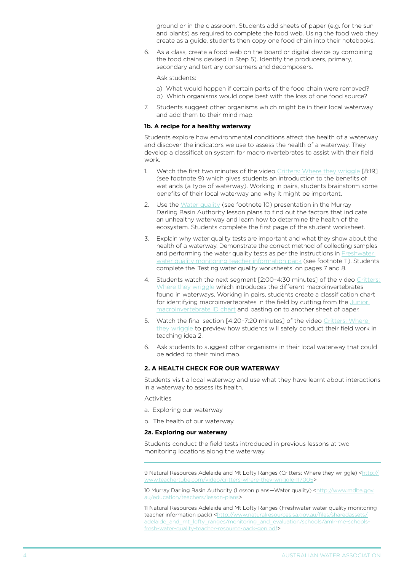ground or in the classroom. Students add sheets of paper (e.g. for the sun and plants) as required to complete the food web. Using the food web they create as a guide, students then copy one food chain into their notebooks.

6. As a class, create a food web on the board or digital device by combining the food chains devised in Step 5). Identify the producers, primary, secondary and tertiary consumers and decomposers.

Ask students:

- a) What would happen if certain parts of the food chain were removed? b) Which organisms would cope best with the loss of one food source?
- 7. Students suggest other organisms which might be in their local waterway and add them to their mind map.

#### **1b. A recipe for a healthy waterway**

Students explore how environmental conditions affect the health of a waterway and discover the indicators we use to assess the health of a waterway. They develop a classification system for macroinvertebrates to assist with their field work.

- 1. Watch the first two minutes of the video [Critters: Where they wriggle](http://www.teachertube.com/video/critters-where-they-wriggle-117005) [8:19] (see footnote 9) which gives students an introduction to the benefits of wetlands (a type of waterway). Working in pairs, students brainstorm some benefits of their local waterway and why it might be important.
- 2. Use the [Water quality](http://www.mdba.gov.au/education/teachers/lesson-plans) (see footnote 10) presentation in the Murray Darling Basin Authority lesson plans to find out the factors that indicate an unhealthy waterway and learn how to determine the health of the ecosystem. Students complete the first page of the student worksheet.
- 3. Explain why water quality tests are important and what they show about the health of a waterway. Demonstrate the correct method of collecting samples and performing the water quality tests as per the instructions in Freshwater [water quality monitoring teacher information pack](http://www.naturalresources.sa.gov.au/files/sharedassets/adelaide_and_mt_lofty_ranges/monitoring_and_evaluation/schools/amlr-me-schools-fresh-water-quality-teacher-resource-pack-gen.pdf) (see footnote 11). Students complete the 'Testing water quality worksheets' on pages 7 and 8.
- 4. Students watch the next segment [2:00–4:30 minutes] of the video [Critters:](http://www.teachertube.com/video/critters-where-they-wriggle-117005)  [Where they wriggle](http://www.teachertube.com/video/critters-where-they-wriggle-117005) which introduces the different macroinvertebrates found in waterways. Working in pairs, students create a classification chart for identifying macroinvertebrates in the field by cutting from the [Junior](http://www.naturalresources.sa.gov.au/adelaidemtloftyranges/about-us/our-regions-progress/monitoring-and-evaluation/schools#macroinvertebrates)  [macroinvertebrate ID chart](http://www.naturalresources.sa.gov.au/adelaidemtloftyranges/about-us/our-regions-progress/monitoring-and-evaluation/schools#macroinvertebrates) and pasting on to another sheet of paper.
- 5. Watch the final section [4:20–7:20 minutes] of the video [Critters: Where](http://www.teachertube.com/video/critters-where-they-wriggle-117005)  [they wriggle](http://www.teachertube.com/video/critters-where-they-wriggle-117005) to preview how students will safely conduct their field work in teaching idea 2.
- 6. Ask students to suggest other organisms in their local waterway that could be added to their mind map.

## **2. a health check for our waterway**

Students visit a local waterway and use what they have learnt about interactions in a waterway to assess its health.

Activities

- a. Exploring our waterway
- b. The health of our waterway

#### **2a. Exploring our waterway**

Students conduct the field tests introduced in previous lessons at two monitoring locations along the waterway.

9 Natural Resources Adelaide and Mt Lofty Ranges (Critters: Where they wriggle) <[http://](http://www.teachertube.com/video/critters-where-they-wriggle-117005) [www.teachertube.com/video/critters-where-they-wriggle-117005>](http://www.teachertube.com/video/critters-where-they-wriggle-117005)

10 Murray Darling Basin Authority (Lesson plans—Water quality) [<http://www.mdba.gov.](http://www.mdba.gov.au/education/teachers/lesson-plans) [au/education/teachers/lesson-plans>](http://www.mdba.gov.au/education/teachers/lesson-plans)

11 Natural Resources Adelaide and Mt Lofty Ranges (Freshwater water quality monitoring teacher information pack) [<http://www.naturalresources.sa.gov.au/files/sharedassets/](http://www.naturalresources.sa.gov.au/files/sharedassets/adelaide_and_mt_lofty_ranges/monitoring_and_evaluation/schools/amlr-me-schools-fresh-water-quality-teacher-resource-pack-gen.pdf) [adelaide\\_and\\_mt\\_lofty\\_ranges/monitoring\\_and\\_evaluation/schools/amlr-me-schools](http://www.naturalresources.sa.gov.au/files/sharedassets/adelaide_and_mt_lofty_ranges/monitoring_and_evaluation/schools/amlr-me-schools-fresh-water-quality-teacher-resource-pack-gen.pdf)[fresh-water-quality-teacher-resource-pack-gen.pdf>](http://www.naturalresources.sa.gov.au/files/sharedassets/adelaide_and_mt_lofty_ranges/monitoring_and_evaluation/schools/amlr-me-schools-fresh-water-quality-teacher-resource-pack-gen.pdf)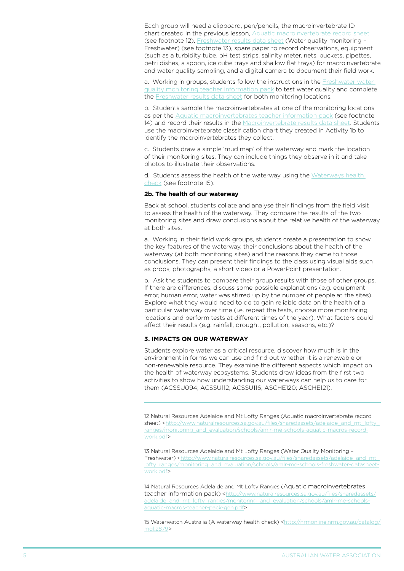Each group will need a clipboard, pen/pencils, the macroinvertebrate ID chart created in the previous lesson, [Aquatic macroinvertebrate record sheet](http://www.naturalresources.sa.gov.au/files/sharedassets/adelaide_and_mt_lofty_ranges/monitoring_and_evaluation/schools/amlr-me-schools-aquatic-macros-record-work.pdf) (see footnote 12), [Freshwater results data sheet](http://www.naturalresources.sa.gov.au/files/sharedassets/adelaide_and_mt_lofty_ranges/monitoring_and_evaluation/schools/amlr-me-schools-freshwater-datasheet-work.pdf) (Water quality monitoring – Freshwater) (see footnote 13), spare paper to record observations, equipment (such as a turbidity tube, pH test strips, salinity meter, nets, buckets, pipettes, petri dishes, a spoon, ice cube trays and shallow flat trays) for macroinvertebrate and water quality sampling, and a digital camera to document their field work.

a. Working in groups, students follow the instructions in the [Freshwater water](http://www.naturalresources.sa.gov.au/files/sharedassets/adelaide_and_mt_lofty_ranges/monitoring_and_evaluation/schools/amlr-me-schools-fresh-water-quality-teacher-resource-pack-gen.pdf)  [quality monitoring teacher information pack](http://www.naturalresources.sa.gov.au/files/sharedassets/adelaide_and_mt_lofty_ranges/monitoring_and_evaluation/schools/amlr-me-schools-fresh-water-quality-teacher-resource-pack-gen.pdf) to test water quality and complete the [Freshwater results data sheet](http://www.naturalresources.sa.gov.au/files/sharedassets/adelaide_and_mt_lofty_ranges/monitoring_and_evaluation/schools/amlr-me-schools-freshwater-datasheet-work.pdf) for both monitoring locations.

b. Students sample the macroinvertebrates at one of the monitoring locations as per the [Aquatic macroinvertebrates teacher information pack](http://www.naturalresources.sa.gov.au/files/sharedassets/adelaide_and_mt_lofty_ranges/monitoring_and_evaluation/schools/amlr-me-schools-aquatic-macros-teacher-pack-gen.pdf) (see footnote 14) and record their results in the [Macroinvertebrate results data sheet.](http://www.naturalresources.sa.gov.au/files/sharedassets/adelaide_and_mt_lofty_ranges/monitoring_and_evaluation/schools/amlr-me-schools-aquatic-macros-record-work.pdf) Students use the macroinvertebrate classification chart they created in Activity 1b to identify the macroinvertebrates they collect.

c. Students draw a simple 'mud map' of the waterway and mark the location of their monitoring sites. They can include things they observe in it and take photos to illustrate their observations.

d. Students assess the health of the waterway using the [Waterways health](http://nrmonline.nrm.gov.au/catalog/mql:2879)  [check](http://nrmonline.nrm.gov.au/catalog/mql:2879) (see footnote 15).

### **2b. The health of our waterway**

Back at school, students collate and analyse their findings from the field visit to assess the health of the waterway. They compare the results of the two monitoring sites and draw conclusions about the relative health of the waterway at both sites.

a. Working in their field work groups, students create a presentation to show the key features of the waterway, their conclusions about the health of the waterway (at both monitoring sites) and the reasons they came to those conclusions. They can present their findings to the class using visual aids such as props, photographs, a short video or a PowerPoint presentation.

b. Ask the students to compare their group results with those of other groups. If there are differences, discuss some possible explanations (e.g. equipment error, human error, water was stirred up by the number of people at the sites). Explore what they would need to do to gain reliable data on the health of a particular waterway over time (i.e. repeat the tests, choose more monitoring locations and perform tests at different times of the year). What factors could affect their results (e.g. rainfall, drought, pollution, seasons, etc.)?

## **3. impacts on our waterway**

Students explore water as a critical resource, discover how much is in the environment in forms we can use and find out whether it is a renewable or non-renewable resource. They examine the different aspects which impact on the health of waterway ecosystems. Students draw ideas from the first two activities to show how understanding our waterways can help us to care for them (ACSSU094; ACSSU112; ACSSU116; ASCHE120; ASCHE121).

12 Natural Resources Adelaide and Mt Lofty Ranges (Aquatic macroinvertebrate record sheet) [<http://www.naturalresources.sa.gov.au/files/sharedassets/adelaide\\_and\\_mt\\_lofty\\_](http://www.naturalresources.sa.gov.au/files/sharedassets/adelaide_and_mt_lofty_ranges/monitoring_and_evaluation/schools/amlr-me-schools-aquatic-macros-record-work.pdf) [ranges/monitoring\\_and\\_evaluation/schools/amlr-me-schools-aquatic-macros-record](http://www.naturalresources.sa.gov.au/files/sharedassets/adelaide_and_mt_lofty_ranges/monitoring_and_evaluation/schools/amlr-me-schools-aquatic-macros-record-work.pdf)[work.pdf>](http://www.naturalresources.sa.gov.au/files/sharedassets/adelaide_and_mt_lofty_ranges/monitoring_and_evaluation/schools/amlr-me-schools-aquatic-macros-record-work.pdf)

13 Natural Resources Adelaide and Mt Lofty Ranges (Water Quality Monitoring – Freshwater) [<http://www.naturalresources.sa.gov.au/files/sharedassets/adelaide\\_and\\_mt\\_](http://www.naturalresources.sa.gov.au/files/sharedassets/adelaide_and_mt_lofty_ranges/monitoring_and_evaluation/schools/amlr-me-schools-freshwater-datasheet-work.pdf) [lofty\\_ranges/monitoring\\_and\\_evaluation/schools/amlr-me-schools-freshwater-datasheet](http://www.naturalresources.sa.gov.au/files/sharedassets/adelaide_and_mt_lofty_ranges/monitoring_and_evaluation/schools/amlr-me-schools-freshwater-datasheet-work.pdf)[work.pdf>](http://www.naturalresources.sa.gov.au/files/sharedassets/adelaide_and_mt_lofty_ranges/monitoring_and_evaluation/schools/amlr-me-schools-freshwater-datasheet-work.pdf)

14 Natural Resources Adelaide and Mt Lofty Ranges (Aquatic macroinvertebrates teacher information pack) <[http://www.naturalresources.sa.gov.au/files/sharedassets/](http://www.naturalresources.sa.gov.au/files/sharedassets/adelaide_and_mt_lofty_ranges/monitoring_and_evaluation/schools/amlr-me-schools-aquatic-macros-teacher-pack-gen.pdf) [adelaide\\_and\\_mt\\_lofty\\_ranges/monitoring\\_and\\_evaluation/schools/amlr-me-schools](http://www.naturalresources.sa.gov.au/files/sharedassets/adelaide_and_mt_lofty_ranges/monitoring_and_evaluation/schools/amlr-me-schools-aquatic-macros-teacher-pack-gen.pdf)[aquatic-macros-teacher-pack-gen.pdf](http://www.naturalresources.sa.gov.au/files/sharedassets/adelaide_and_mt_lofty_ranges/monitoring_and_evaluation/schools/amlr-me-schools-aquatic-macros-teacher-pack-gen.pdf)>

15 Waterwatch Australia (A waterway health check) <[http://nrmonline.nrm.gov.au/catalog/](http://nrmonline.nrm.gov.au/catalog/mql:2879) [mql:2879](http://nrmonline.nrm.gov.au/catalog/mql:2879)>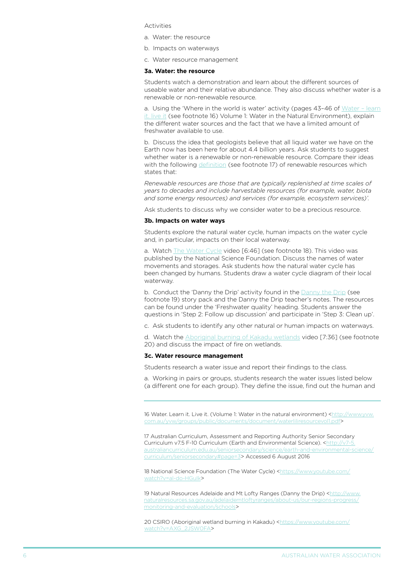**Activities** 

- a. Water: the resource
- b. Impacts on waterways
- c. Water resource management

#### **3a. Water: the resource**

Students watch a demonstration and learn about the different sources of useable water and their relative abundance. They also discuss whether water is a renewable or non-renewable resource.

a. Using the 'Where in the world is water' activity (pages 43–46 of [Water – learn](http://www.yvw.com.au/yvw/groups/public/documents/document/waterliliresourcevol1.pdf) [it. live it](http://www.yvw.com.au/yvw/groups/public/documents/document/waterliliresourcevol1.pdf) (see footnote 16) Volume 1: Water in the Natural Environment), explain the different water sources and the fact that we have a limited amount of freshwater available to use.

b. Discuss the idea that geologists believe that all liquid water we have on the Earth now has been here for about 4.4 billion years. Ask students to suggest whether water is a renewable or non-renewable resource. Compare their ideas with the following [definition](http://v7-5.australiancurriculum.edu.au/seniorsecondary/science/earth-and-environmental-science/curriculum/seniorsecondary#page=3) (see footnote 17) of renewable resources which states that:

*Renewable resources are those that are typically replenished at time scales of years to decades and include harvestable resources (for example, water, biota and some energy resources) and services (for example, ecosystem services)'.*

Ask students to discuss why we consider water to be a precious resource.

#### **3b. Impacts on water ways**

Students explore the natural water cycle, human impacts on the water cycle and, in particular, impacts on their local waterway.

a. Watch [The Water Cycle](https://www.youtube.com/watch?v=al-do-HGuIk) video [6:46] (see footnote 18). This video was published by the National Science Foundation. Discuss the names of water movements and storages. Ask students how the natural water cycle has been changed by humans. Students draw a water cycle diagram of their local waterway.

b. Conduct the 'Danny the Drip' activity found in the [Danny the Drip](http://www.naturalresources.sa.gov.au/adelaidemtloftyranges/about-us/our-regions-progress/monitoring-and-evaluation/schools) (see footnote 19) story pack and the Danny the Drip teacher's notes. The resources can be found under the 'Freshwater quality' heading. Students answer the questions in 'Step 2: Follow up discussion' and participate in 'Step 3: Clean up'.

c. Ask students to identify any other natural or human impacts on waterways.

d. Watch the [Aboriginal burning of Kakadu wetlands](https://www.youtube.com/watch?v=AXG_2JSW0FA) video [7:36] (see footnote 20) and discuss the impact of fire on wetlands.

### **3c. Water resource management**

Students research a water issue and report their findings to the class.

a. Working in pairs or groups, students research the water issues listed below (a different one for each group). They define the issue, find out the human and

16 Water. Learn it. Live it. (Volume 1: Water in the natural environment) [<http://www.yvw.](http://www.yvw.com.au/yvw/groups/public/documents/document/waterliliresourcevol1.pdf) [com.au/yvw/groups/public/documents/document/waterliliresourcevol1.pdf>](http://www.yvw.com.au/yvw/groups/public/documents/document/waterliliresourcevol1.pdf)

17 Australian Curriculum, Assessment and Reporting Authority Senior Secondary Curriculum v7.5 F-10 Curriculum (Earth and Environmental Science). [<http://v7-5.](http://v7-5.australiancurriculum.edu.au/seniorsecondary/science/earth-and-environmental-science/curriculum/seniorsecondary#page=3) [australiancurriculum.edu.au/seniorsecondary/science/earth-and-environmental-science/](http://v7-5.australiancurriculum.edu.au/seniorsecondary/science/earth-and-environmental-science/curriculum/seniorsecondary#page=3) [curriculum/seniorsecondary#page=3>](http://v7-5.australiancurriculum.edu.au/seniorsecondary/science/earth-and-environmental-science/curriculum/seniorsecondary#page=3) Accessed 6 August 2016

18 National Science Foundation (The Water Cycle) <[https://www.youtube.com/](https://www.youtube.com/watch?v=al-do-HGuIk) [watch?v=al-do-HGuIk>](https://www.youtube.com/watch?v=al-do-HGuIk)

19 Natural Resources Adelaide and Mt Lofty Ranges (Danny the Drip) [<http://www.](http://www.naturalresources.sa.gov.au/adelaidemtloftyranges/about-us/our-regions-progress/monitoring-and-evaluation/schools) [naturalresources.sa.gov.au/adelaidemtloftyranges/about-us/our-regions-progress/](http://www.naturalresources.sa.gov.au/adelaidemtloftyranges/about-us/our-regions-progress/monitoring-and-evaluation/schools) [monitoring-and-evaluation/schools](http://www.naturalresources.sa.gov.au/adelaidemtloftyranges/about-us/our-regions-progress/monitoring-and-evaluation/schools)>

20 CSIRO (Aboriginal wetland burning in Kakadu) [<https://www.youtube.com/](https://www.youtube.com/watch?v=AXG_2JSW0FA) [watch?v=AXG\\_2JSW0FA>](https://www.youtube.com/watch?v=AXG_2JSW0FA)